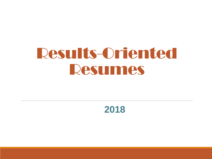# Results-Oriented Resumes

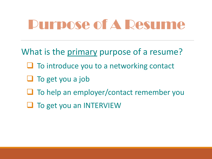# Purpose of A Resume

What is the primary purpose of a resume?

- $\Box$  To introduce you to a networking contact
- $\Box$  To get you a job
- $\Box$  To help an employer/contact remember you
- $\Box$  To get you an INTERVIEW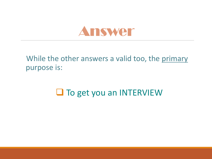

#### While the other answers a valid too, the primary purpose is:

#### $\Box$  To get you an INTERVIEW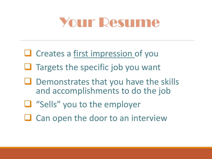# Your Resume

- $\Box$  Creates a first impression of you
- $\Box$  Targets the specific job you want
- $\Box$  Demonstrates that you have the skills and accomplishments to do the job
- "Sells" you to the employer
- $\Box$  Can open the door to an interview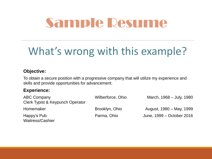# Sample Resume

## What's wrong with this example?

#### **Objective:**

To obtain a secure position with a progressive company that will utilize my experience and skills and provide opportunities for advancement.

#### **Experience:**

| <b>ABC Company</b>               | Wilberforce, Ohio | March, 1968 – July, 1980  |
|----------------------------------|-------------------|---------------------------|
| Clerk Typist & Keypunch Operator |                   |                           |
| Homemaker                        | Brooklyn, Ohio    | August, 1980 – May, 1999  |
| Happy's Pub<br>Waitress/Cashier  | Parma, Ohio       | June, 1999 – October 2016 |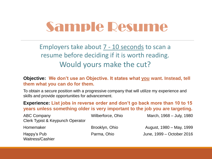# Sample Resume

Employers take about 7 - 10 seconds to scan a resume before deciding if it is worth reading. Would yours make the cut?

#### **Objective: We don't use an Objective. It states what you want. Instead, tell them what you can do for them.**

To obtain a secure position with a progressive company that will utilize my experience and skills and provide opportunities for advancement.

**Experience: List jobs in reverse order and don't go back more than 10 to 15 years unless something older is very important to the job you are targeting.**

| <b>ABC Company</b>               | Wilberforce, Ohio | March, 1968 – July, 1980  |
|----------------------------------|-------------------|---------------------------|
| Clerk Typist & Keypunch Operator |                   |                           |
| Homemaker                        | Brooklyn, Ohio    | August, 1980 – May, 1999  |
| Happy's Pub<br>Waitress/Cashier  | Parma, Ohio       | June, 1999 – October 2016 |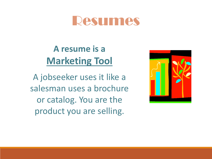### Resumes

#### **A resume is a Marketing Tool**

A jobseeker uses it like a salesman uses a brochure or catalog. You are the product you are selling.

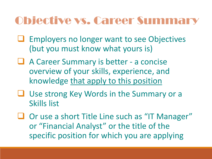#### Objective vs. Career Summary

- Employers no longer want to see Objectives (but you must know what yours is)
- A Career Summary is better a concise overview of your skills, experience, and knowledge that apply to this position
- Use strong Key Words in the Summary or a Skills list
- $\Box$  Or use a short Title Line such as "IT Manager" or "Financial Analyst" or the title of the specific position for which you are applying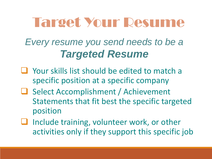# Target Your Resume

*Every resume you send needs to be a Targeted Resume*

- **Q** Your skills list should be edited to match a specific position at a specific company
- **□ Select Accomplishment / Achievement** Statements that fit best the specific targeted position
- **■** Include training, volunteer work, or other activities only if they support this specific job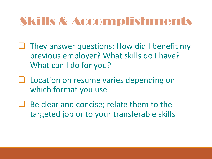## Skills & Accomplishments

- $\Box$  They answer questions: How did I benefit my previous employer? What skills do I have? What can I do for you?
- **L** Location on resume varies depending on which format you use
- $\Box$  Be clear and concise; relate them to the targeted job or to your transferable skills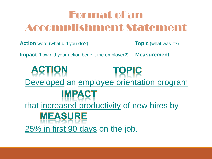### Format of an Accomplishment Statement

**Action** word (what did you **do**?) **Topic** (what was it?)

**Impact** (how did your action benefit the employer?) **Measurement** 

**ACTION TOPIC** Developed an employee orientation program **IMPACT** that increased productivity of new hires by **MEASURE** 25% in first 90 days on the job.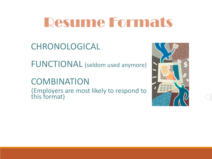# Resume Formats

#### CHRONOLOGICAL

FUNCTIONAL (seldom used anymore)

#### **COMBINATION**

(Employers are most likely to respond to this format)

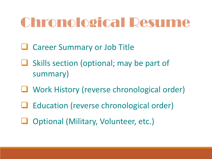# Chronological Resume

- **Q** Career Summary or Job Title
- $\Box$  Skills section (optional; may be part of summary)
- **□** Work History (reverse chronological order)
- **□** Education (reverse chronological order)
- □ Optional (Military, Volunteer, etc.)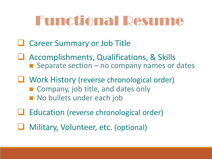# Functional Resume

- **Q** Career Summary or Job Title
- Accomplishments, Qualifications, & Skills Separate section  $-$  no company names or dates
- U Work History (reverse chronological order) ■ Company, job title, and dates only
	- No bullets under each job
- **■** Education (reverse chronological order)
- Military, Volunteer, etc. (optional)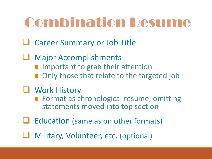# Combination Resume

- **Q** Career Summary or Job Title
- Major Accomplishments  $\blacksquare$  Important to grab their attention Only those that relate to the targeted job
- **U** Work History
	- **Format as chronological resume, omitting** statements moved into top section
- Education (same as on other formats)
- Military, Volunteer, etc. (optional)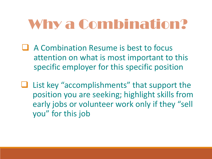# Why a Combination?

- A Combination Resume is best to focus attention on what is most important to this specific employer for this specific position
- $\Box$  List key "accomplishments" that support the position you are seeking; highlight skills from early jobs or volunteer work only if they "sell you" for this job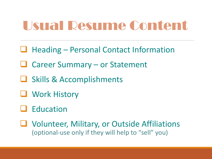# Usual Resume Content

- $\Box$  Heading Personal Contact Information
- **□** Career Summary or Statement
- **□ Skills & Accomplishments**
- **U** Work History
- **Q** Education
- Volunteer, Military, or Outside Affiliations (optional-use only if they will help to "sell" you)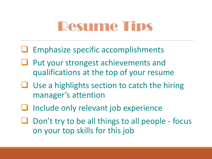# Resume Tips

- $\Box$  Emphasize specific accomplishments
- Put your strongest achievements and qualifications at the top of your resume
- Use a highlights section to catch the hiring manager's attention
- Include only relevant job experience
- $\Box$  Don't try to be all things to all people focus on your top skills for this job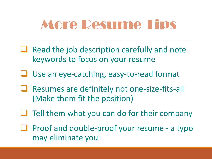# More Resume Tips

- $\Box$  Read the job description carefully and note keywords to focus on your resume
- Use an eye-catching, easy-to-read format
- **■** Resumes are definitely not one-size-fits-all (Make them fit the position)
- $\Box$  Tell them what you can do for their company
- $\Box$  Proof and double-proof your resume a typo may eliminate you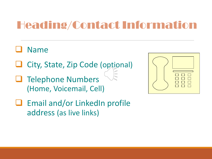#### Heading/Contact Information

#### Name

- $\Box$  City, State, Zip Code (optional)
- **LI** Telephone Numbers (Home, Voicemail, Cell)



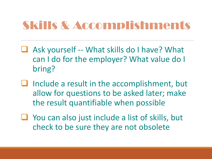### Skills & Accomplishments

- $\Box$  Ask yourself -- What skills do I have? What can I do for the employer? What value do I bring?
- $\Box$  Include a result in the accomplishment, but allow for questions to be asked later; make the result quantifiable when possible
- You can also just include a list of skills, but check to be sure they are not obsolete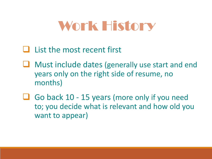# Work History

#### List the most recent first

- Must include dates (generally use start and end years only on the right side of resume, no months)
- Go back 10 15 years (more only if you need to; you decide what is relevant and how old you want to appear)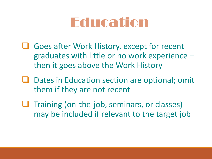# Education

- **□** Goes after Work History, except for recent graduates with little or no work experience – then it goes above the Work History
- $\Box$  Dates in Education section are optional; omit them if they are not recent
- $\Box$  Training (on-the-job, seminars, or classes) may be included if relevant to the target job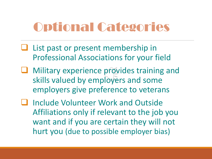## Optional Categories

- List past or present membership in Professional Associations for your field
- **Q** Military experience provides training and skills valued by employers and some employers give preference to veterans
- Include Volunteer Work and Outside Affiliations only if relevant to the job you want and if you are certain they will not hurt you (due to possible employer bias)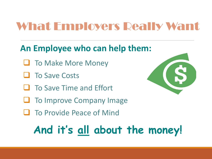## What Employers Really Want

#### **An Employee who can help them:**

- **To Make More Money**
- **Li** To Save Costs
- $\Box$  To Save Time and Effort
- $\Box$  To Improve Company Image
- **To Provide Peace of Mind**



# **And it's all about the money!**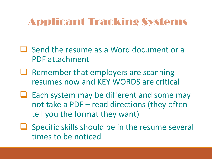#### Applicant Tracking Systems

- U Send the resume as a Word document or a PDF attachment
- Remember that employers are scanning resumes now and KEY WORDS are critical
- Each system may be different and some may not take a PDF – read directions (they often tell you the format they want)
- $\Box$  Specific skills should be in the resume several times to be noticed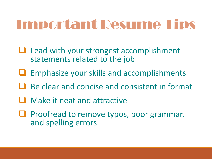# Important Resume Tips

- $\Box$  Lead with your strongest accomplishment statements related to the job
- Emphasize your skills and accomplishments
- Be clear and concise and consistent in format
- **Q** Make it neat and attractive
- **□** Proofread to remove typos, poor grammar, and spelling errors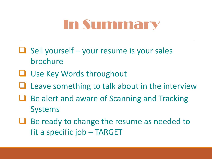# In Summary

- $\Box$  Sell yourself your resume is your sales brochure
- $\Box$  Use Key Words throughout
- Leave something to talk about in the interview
- Be alert and aware of Scanning and Tracking Systems
- $\Box$  Be ready to change the resume as needed to fit a specific job – TARGET